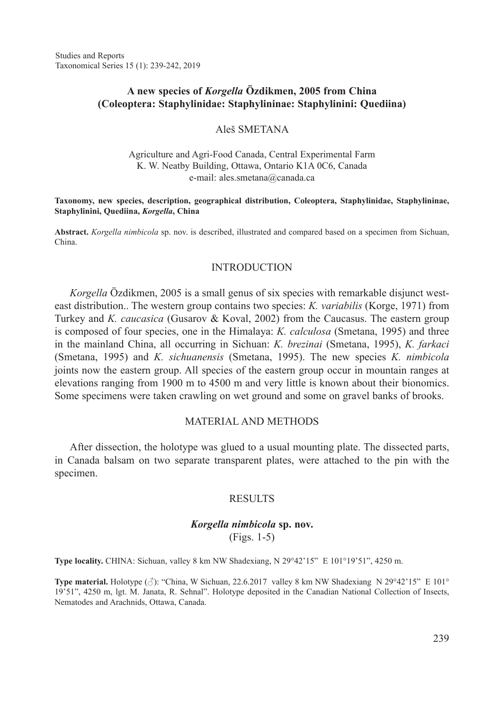Studies and Reports Taxonomical Series 15 (1): 239-242, 2019

# **A new species of** *Korgella* **Özdikmen, 2005 from China (Coleoptera: Staphylinidae: Staphylininae: Staphylinini: Quediina)**

### Aleš SMETANA

### Agriculture and Agri-Food Canada, Central Experimental Farm K. W. Neatby Building, Ottawa, Ontario K1A 0C6, Canada e-mail: ales.smetana@canada.ca

#### **Taxonomy, new species, description, geographical distribution, Coleoptera, Staphylinidae, Staphylininae, Staphylinini, Quediina,** *Korgella***, China**

**Abstract.** *Korgella nimbicola* sp. nov. is described, illustrated and compared based on a specimen from Sichuan, China.

### INTRODUCTION

*Korgella* Özdikmen, 2005 is a small genus of six species with remarkable disjunct westeast distribution.. The western group contains two species: *K. variabilis* (Korge, 1971) from Turkey and *K. caucasica* (Gusarov & Koval, 2002) from the Caucasus. The eastern group is composed of four species, one in the Himalaya: *K. calculosa* (Smetana, 1995) and three in the mainland China, all occurring in Sichuan: *K. brezinai* (Smetana, 1995), *K. farkaci*  (Smetana, 1995) and *K. sichuanensis* (Smetana, 1995). The new species *K. nimbicola*  joints now the eastern group. All species of the eastern group occur in mountain ranges at elevations ranging from 1900 m to 4500 m and very little is known about their bionomics. Some specimens were taken crawling on wet ground and some on gravel banks of brooks.

## MATERIAL AND METHODS

After dissection, the holotype was glued to a usual mounting plate. The dissected parts, in Canada balsam on two separate transparent plates, were attached to the pin with the specimen.

### **RESULTS**

## *Korgella nimbicola* **sp. nov.** (Figs. 1-5)

**Type locality.** CHINA: Sichuan, valley 8 km NW Shadexiang, N 29°42'15" E 101°19'51", 4250 m.

**Type material.** Holotype (♂): "China, W Sichuan, 22.6.2017 valley 8 km NW Shadexiang N 29°42'15" E 101° 19'51", 4250 m, lgt. M. Janata, R. Sehnal". Holotype deposited in the Canadian National Collection of Insects, Nematodes and Arachnids, Ottawa, Canada.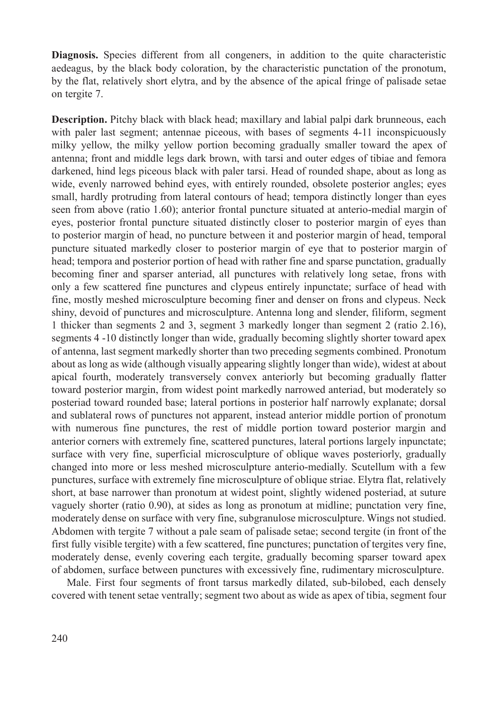**Diagnosis.** Species different from all congeners, in addition to the quite characteristic aedeagus, by the black body coloration, by the characteristic punctation of the pronotum, by the flat, relatively short elytra, and by the absence of the apical fringe of palisade setae on tergite 7.

**Description.** Pitchy black with black head; maxillary and labial palpi dark brunneous, each with paler last segment; antennae piceous, with bases of segments 4-11 inconspicuously milky yellow, the milky yellow portion becoming gradually smaller toward the apex of antenna; front and middle legs dark brown, with tarsi and outer edges of tibiae and femora darkened, hind legs piceous black with paler tarsi. Head of rounded shape, about as long as wide, evenly narrowed behind eyes, with entirely rounded, obsolete posterior angles; eyes small, hardly protruding from lateral contours of head; tempora distinctly longer than eyes seen from above (ratio 1.60); anterior frontal puncture situated at anterio-medial margin of eyes, posterior frontal puncture situated distinctly closer to posterior margin of eyes than to posterior margin of head, no puncture between it and posterior margin of head, temporal puncture situated markedly closer to posterior margin of eye that to posterior margin of head; tempora and posterior portion of head with rather fine and sparse punctation, gradually becoming finer and sparser anteriad, all punctures with relatively long setae, frons with only a few scattered fine punctures and clypeus entirely inpunctate; surface of head with fine, mostly meshed microsculpture becoming finer and denser on frons and clypeus. Neck shiny, devoid of punctures and microsculpture. Antenna long and slender, filiform, segment 1 thicker than segments 2 and 3, segment 3 markedly longer than segment 2 (ratio 2.16), segments 4 -10 distinctly longer than wide, gradually becoming slightly shorter toward apex of antenna, last segment markedly shorter than two preceding segments combined. Pronotum about as long as wide (although visually appearing slightly longer than wide), widest at about apical fourth, moderately transversely convex anteriorly but becoming gradually flatter toward posterior margin, from widest point markedly narrowed anteriad, but moderately so posteriad toward rounded base; lateral portions in posterior half narrowly explanate; dorsal and sublateral rows of punctures not apparent, instead anterior middle portion of pronotum with numerous fine punctures, the rest of middle portion toward posterior margin and anterior corners with extremely fine, scattered punctures, lateral portions largely inpunctate; surface with very fine, superficial microsculpture of oblique waves posteriorly, gradually changed into more or less meshed microsculpture anterio-medially. Scutellum with a few punctures, surface with extremely fine microsculpture of oblique striae. Elytra flat, relatively short, at base narrower than pronotum at widest point, slightly widened posteriad, at suture vaguely shorter (ratio 0.90), at sides as long as pronotum at midline; punctation very fine, moderately dense on surface with very fine, subgranulose microsculpture. Wings not studied. Abdomen with tergite 7 without a pale seam of palisade setae; second tergite (in front of the first fully visible tergite) with a few scattered, fine punctures; punctation of tergites very fine, moderately dense, evenly covering each tergite, gradually becoming sparser toward apex of abdomen, surface between punctures with excessively fine, rudimentary microsculpture.

Male. First four segments of front tarsus markedly dilated, sub-bilobed, each densely covered with tenent setae ventrally; segment two about as wide as apex of tibia, segment four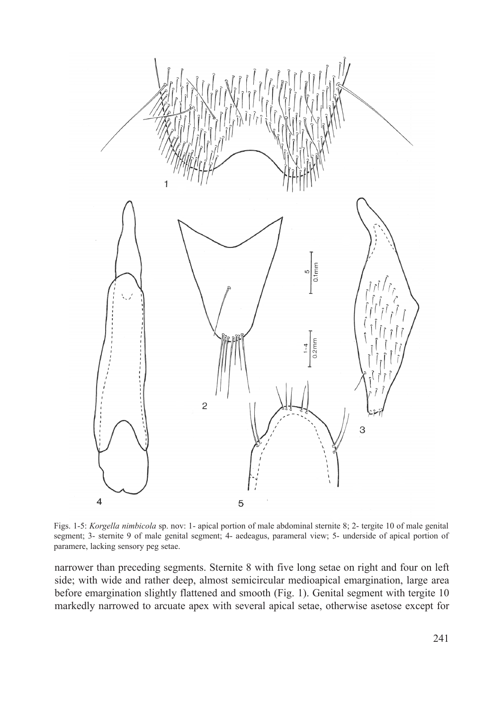

Figs. 1-5: *Korgella nimbicola* sp. nov: 1- apical portion of male abdominal sternite 8; 2- tergite 10 of male genital segment; 3- sternite 9 of male genital segment; 4- aedeagus, parameral view; 5- underside of apical portion of paramere, lacking sensory peg setae.

narrower than preceding segments. Sternite 8 with five long setae on right and four on left side; with wide and rather deep, almost semicircular medioapical emargination, large area before emargination slightly flattened and smooth (Fig. 1). Genital segment with tergite 10 markedly narrowed to arcuate apex with several apical setae, otherwise asetose except for